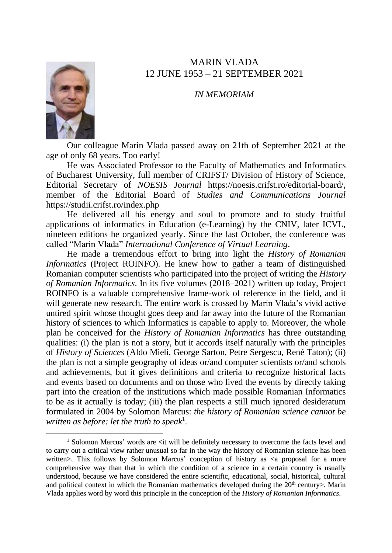## MARIN VLADA 12 JUNE 1953 – 21 SEPTEMBER 2021

*IN MEMORIAM*



Our colleague Marin Vlada passed away on 21th of September 2021 at the age of only 68 years. Too early!

He was Associated Professor to the Faculty of Mathematics and Informatics of Bucharest University, full member of CRIFST/ Division of History of Science, Editorial Secretary of *NOESIS Journal* https://noesis.crifst.ro/editorial-board/, member of the Editorial Board of *Studies and Communications Journal* https://studii.crifst.ro/index.php

He delivered all his energy and soul to promote and to study fruitful applications of informatics in Education (e-Learning) by the CNIV, later ICVL, nineteen editions he organized yearly. Since the last October, the conference was called "Marin Vlada" *International Conference of Virtual Learning*.

He made a tremendous effort to bring into light the *History of Romanian Informatics* (Project ROINFO). He knew how to gather a team of distinguished Romanian computer scientists who participated into the project of writing the *History of Romanian Informatics*. In its five volumes (2018–2021) written up today, Project ROINFO is a valuable comprehensive frame-work of reference in the field, and it will generate new research. The entire work is crossed by Marin Vlada's vivid active untired spirit whose thought goes deep and far away into the future of the Romanian history of sciences to which Informatics is capable to apply to. Moreover, the whole plan he conceived for the *History of Romanian Informatics* has three outstanding qualities: (i) the plan is not a story, but it accords itself naturally with the principles of *History of Sciences* (Aldo Mieli, George Sarton, Petre Sergescu, René Taton); (ii) the plan is not a simple geography of ideas or/and computer scientists or/and schools and achievements, but it gives definitions and criteria to recognize historical facts and events based on documents and on those who lived the events by directly taking part into the creation of the institutions which made possible Romanian Informatics to be as it actually is today; (iii) the plan respects a still much ignored desideratum formulated in 2004 by Solomon Marcus: *the history of Romanian science cannot be*  written as before: let the truth to speak<sup>1</sup>.

<sup>&</sup>lt;sup>1</sup> Solomon Marcus' words are  $\langle$ it will be definitely necessary to overcome the facts level and to carry out a critical view rather unusual so far in the way the history of Romanian science has been written>. This follows by Solomon Marcus' conception of history as  $\langle a \rangle$  proposal for a more comprehensive way than that in which the condition of a science in a certain country is usually understood, because we have considered the entire scientific, educational, social, historical, cultural and political context in which the Romanian mathematics developed during the 20<sup>th</sup> century>. Marin Vlada applies word by word this principle in the conception of the *History of Romanian Informatics*.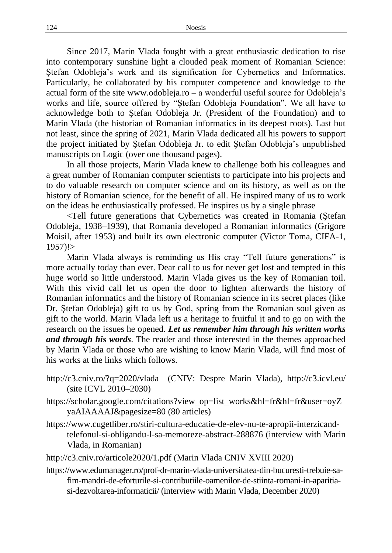Since 2017, Marin Vlada fought with a great enthusiastic dedication to rise into contemporary sunshine light a clouded peak moment of Romanian Science: Stefan Odobleja's work and its signification for Cybernetics and Informatics. Particularly, he collaborated by his computer competence and knowledge to the actual form of the site www.odobleja.ro – a wonderful useful source for Odobleja's works and life, source offered by "Ştefan Odobleja Foundation". We all have to acknowledge both to Ştefan Odobleja Jr. (President of the Foundation) and to Marin Vlada (the historian of Romanian informatics in its deepest roots). Last but not least, since the spring of 2021, Marin Vlada dedicated all his powers to support the project initiated by Ştefan Odobleja Jr. to edit Ştefan Odobleja's unpublished manuscripts on Logic (over one thousand pages).

In all those projects, Marin Vlada knew to challenge both his colleagues and a great number of Romanian computer scientists to participate into his projects and to do valuable research on computer science and on its history, as well as on the history of Romanian science, for the benefit of all. He inspired many of us to work on the ideas he enthusiastically professed. He inspires us by a single phrase

<Tell future generations that Cybernetics was created in Romania (Ştefan Odobleja, 1938–1939), that Romania developed a Romanian informatics (Grigore Moisil, after 1953) and built its own electronic computer (Victor Toma, CIFA-1,  $1957$ !>

Marin Vlada always is reminding us His cray "Tell future generations" is more actually today than ever. Dear call to us for never get lost and tempted in this huge world so little understood. Marin Vlada gives us the key of Romanian toil. With this vivid call let us open the door to lighten afterwards the history of Romanian informatics and the history of Romanian science in its secret places (like Dr. Ştefan Odobleja) gift to us by God, spring from the Romanian soul given as gift to the world. Marin Vlada left us a heritage to fruitful it and to go on with the research on the issues he opened. *Let us remember him through his written works and through his words*. The reader and those interested in the themes approached by Marin Vlada or those who are wishing to know Marin Vlada, will find most of his works at the links which follows.

- http://c3.cniv.ro/?q=2020/vlada (CNIV: Despre Marin Vlada), <http://c3.icvl.eu/> (site ICVL 2010–2030)
- https://scholar.google.com/citations?view\_op=list\_works&hl=fr&hl=fr&user=oyZ yaAIAAAAJ&pagesize=80 (80 articles)
- https://www.cugetliber.ro/stiri-cultura-educatie-de-elev-nu-te-apropii-interzicandtelefonul-si-obligandu-l-sa-memoreze-abstract-288876 (interview with Marin Vlada, in Romanian)
- http://c3.cniv.ro/articole2020/1.pdf (Marin Vlada CNIV XVIII 2020)
- https://www.edumanager.ro/prof-dr-marin-vlada-universitatea-din-bucuresti-trebuie-safim-mandri-de-eforturile-si-contributiile-oamenilor-de-stiinta-romani-in-aparitiasi-dezvoltarea-informaticii/ (interview with Marin Vlada, December 2020)